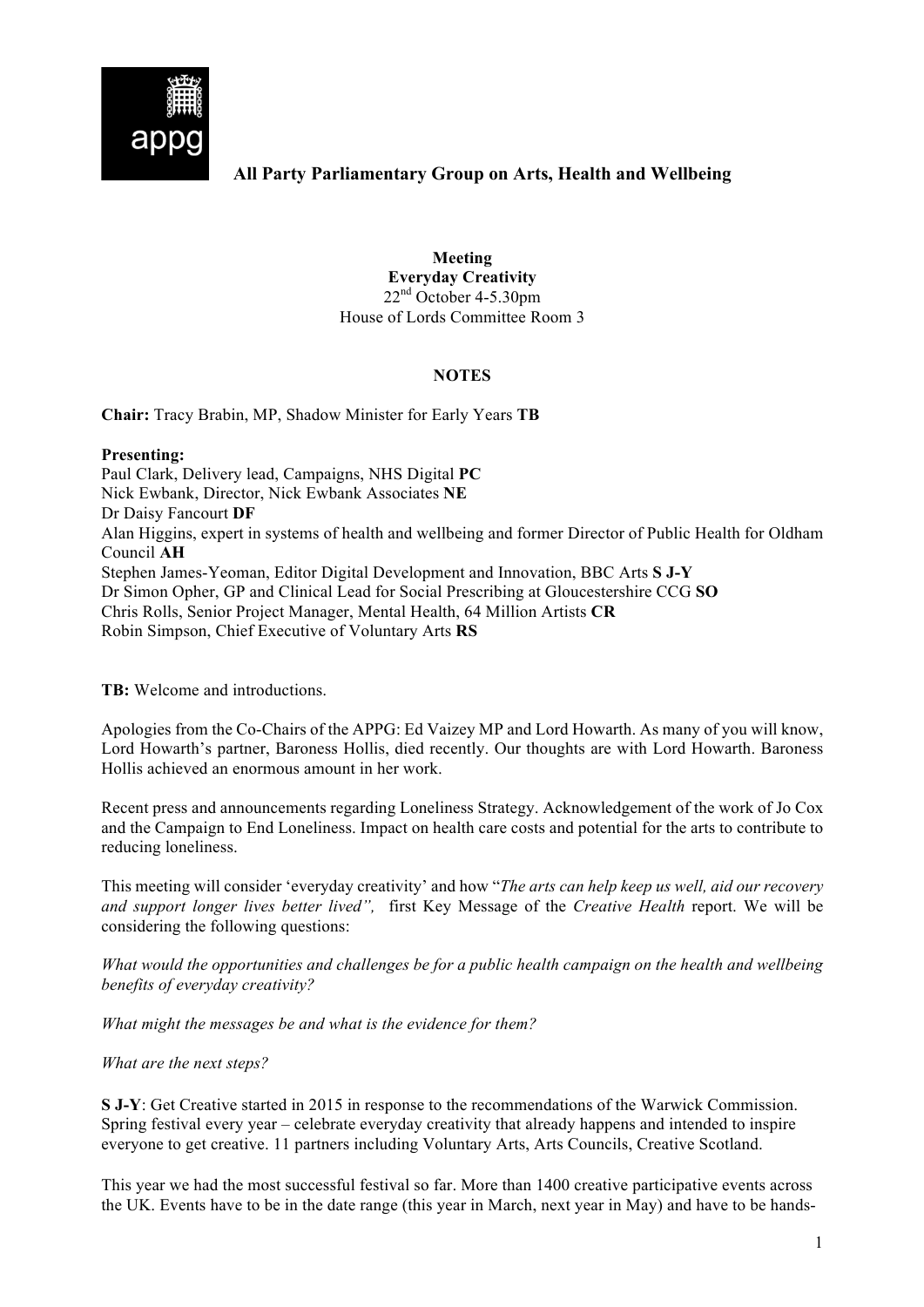

## **All Party Parliamentary Group on Arts, Health and Wellbeing**

**Meeting Everyday Creativity** 22<sup>nd</sup> October 4-5.30pm House of Lords Committee Room 3

## **NOTES**

**Chair:** Tracy Brabin, MP, Shadow Minister for Early Years **TB**

## **Presenting:**

Paul Clark, Delivery lead, Campaigns, NHS Digital **PC** Nick Ewbank, Director, Nick Ewbank Associates **NE** Dr Daisy Fancourt **DF** Alan Higgins, expert in systems of health and wellbeing and former Director of Public Health for Oldham Council **AH** Stephen James-Yeoman, Editor Digital Development and Innovation, BBC Arts **S J-Y** Dr Simon Opher, GP and Clinical Lead for Social Prescribing at Gloucestershire CCG **SO** Chris Rolls, Senior Project Manager, Mental Health, 64 Million Artists **CR** Robin Simpson, Chief Executive of Voluntary Arts **RS**

**TB:** Welcome and introductions.

Apologies from the Co-Chairs of the APPG: Ed Vaizey MP and Lord Howarth. As many of you will know, Lord Howarth's partner, Baroness Hollis, died recently. Our thoughts are with Lord Howarth. Baroness Hollis achieved an enormous amount in her work.

Recent press and announcements regarding Loneliness Strategy. Acknowledgement of the work of Jo Cox and the Campaign to End Loneliness. Impact on health care costs and potential for the arts to contribute to reducing loneliness.

This meeting will consider 'everyday creativity' and how "*The arts can help keep us well, aid our recovery and support longer lives better lived",* first Key Message of the *Creative Health* report. We will be considering the following questions:

*What would the opportunities and challenges be for a public health campaign on the health and wellbeing benefits of everyday creativity?*

*What might the messages be and what is the evidence for them?*

*What are the next steps?*

**S J-Y**: Get Creative started in 2015 in response to the recommendations of the Warwick Commission. Spring festival every year – celebrate everyday creativity that already happens and intended to inspire everyone to get creative. 11 partners including Voluntary Arts, Arts Councils, Creative Scotland.

This year we had the most successful festival so far. More than 1400 creative participative events across the UK. Events have to be in the date range (this year in March, next year in May) and have to be hands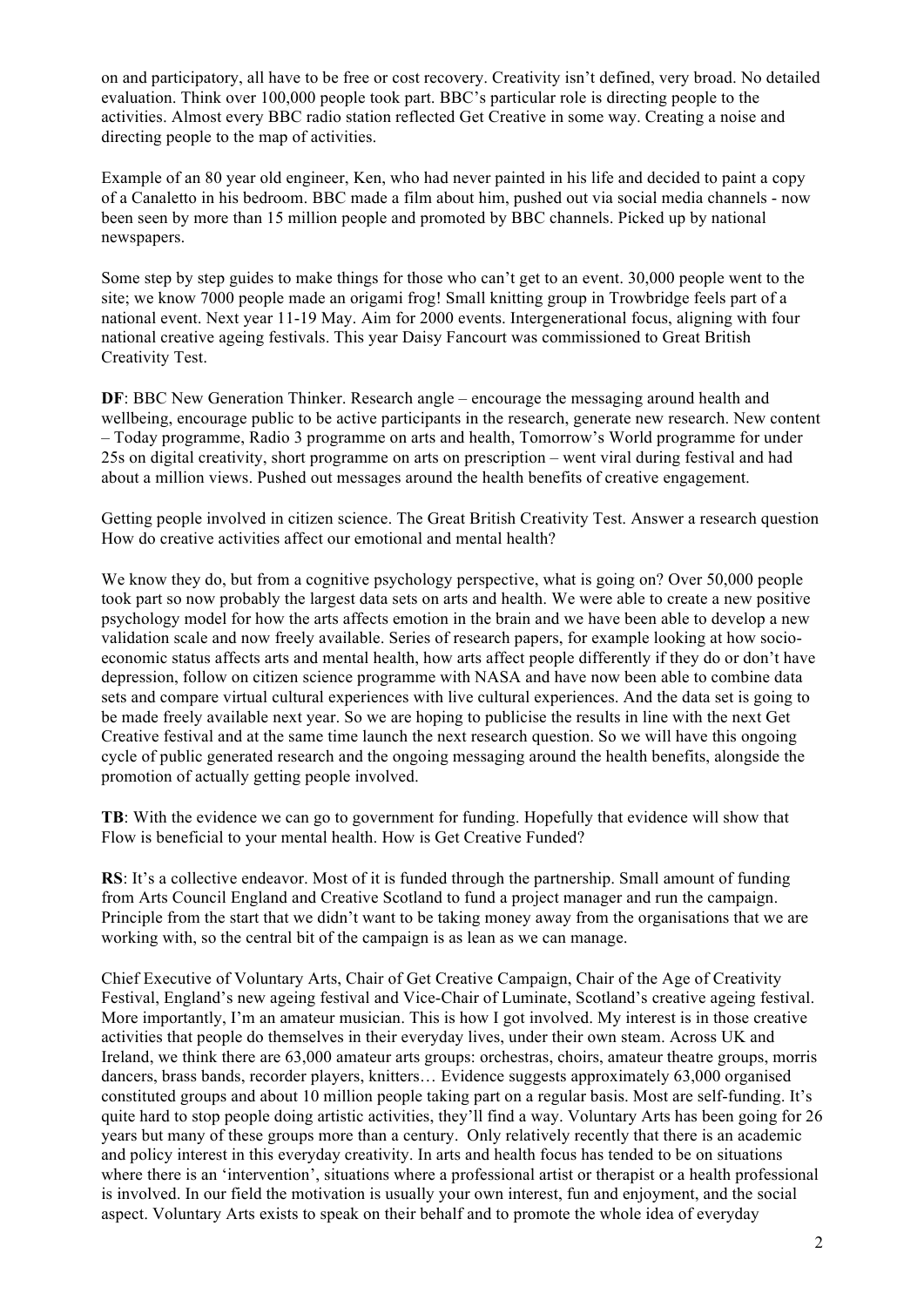on and participatory, all have to be free or cost recovery. Creativity isn't defined, very broad. No detailed evaluation. Think over 100,000 people took part. BBC's particular role is directing people to the activities. Almost every BBC radio station reflected Get Creative in some way. Creating a noise and directing people to the map of activities.

Example of an 80 year old engineer, Ken, who had never painted in his life and decided to paint a copy of a Canaletto in his bedroom. BBC made a film about him, pushed out via social media channels - now been seen by more than 15 million people and promoted by BBC channels. Picked up by national newspapers.

Some step by step guides to make things for those who can't get to an event. 30,000 people went to the site; we know 7000 people made an origami frog! Small knitting group in Trowbridge feels part of a national event. Next year 11-19 May. Aim for 2000 events. Intergenerational focus, aligning with four national creative ageing festivals. This year Daisy Fancourt was commissioned to Great British Creativity Test.

**DF**: BBC New Generation Thinker. Research angle – encourage the messaging around health and wellbeing, encourage public to be active participants in the research, generate new research. New content – Today programme, Radio 3 programme on arts and health, Tomorrow's World programme for under 25s on digital creativity, short programme on arts on prescription – went viral during festival and had about a million views. Pushed out messages around the health benefits of creative engagement.

Getting people involved in citizen science. The Great British Creativity Test. Answer a research question How do creative activities affect our emotional and mental health?

We know they do, but from a cognitive psychology perspective, what is going on? Over 50,000 people took part so now probably the largest data sets on arts and health. We were able to create a new positive psychology model for how the arts affects emotion in the brain and we have been able to develop a new validation scale and now freely available. Series of research papers, for example looking at how socioeconomic status affects arts and mental health, how arts affect people differently if they do or don't have depression, follow on citizen science programme with NASA and have now been able to combine data sets and compare virtual cultural experiences with live cultural experiences. And the data set is going to be made freely available next year. So we are hoping to publicise the results in line with the next Get Creative festival and at the same time launch the next research question. So we will have this ongoing cycle of public generated research and the ongoing messaging around the health benefits, alongside the promotion of actually getting people involved.

**TB**: With the evidence we can go to government for funding. Hopefully that evidence will show that Flow is beneficial to your mental health. How is Get Creative Funded?

**RS**: It's a collective endeavor. Most of it is funded through the partnership. Small amount of funding from Arts Council England and Creative Scotland to fund a project manager and run the campaign. Principle from the start that we didn't want to be taking money away from the organisations that we are working with, so the central bit of the campaign is as lean as we can manage.

Chief Executive of Voluntary Arts, Chair of Get Creative Campaign, Chair of the Age of Creativity Festival, England's new ageing festival and Vice-Chair of Luminate, Scotland's creative ageing festival. More importantly, I'm an amateur musician. This is how I got involved. My interest is in those creative activities that people do themselves in their everyday lives, under their own steam. Across UK and Ireland, we think there are 63,000 amateur arts groups: orchestras, choirs, amateur theatre groups, morris dancers, brass bands, recorder players, knitters… Evidence suggests approximately 63,000 organised constituted groups and about 10 million people taking part on a regular basis. Most are self-funding. It's quite hard to stop people doing artistic activities, they'll find a way. Voluntary Arts has been going for 26 years but many of these groups more than a century. Only relatively recently that there is an academic and policy interest in this everyday creativity. In arts and health focus has tended to be on situations where there is an 'intervention', situations where a professional artist or therapist or a health professional is involved. In our field the motivation is usually your own interest, fun and enjoyment, and the social aspect. Voluntary Arts exists to speak on their behalf and to promote the whole idea of everyday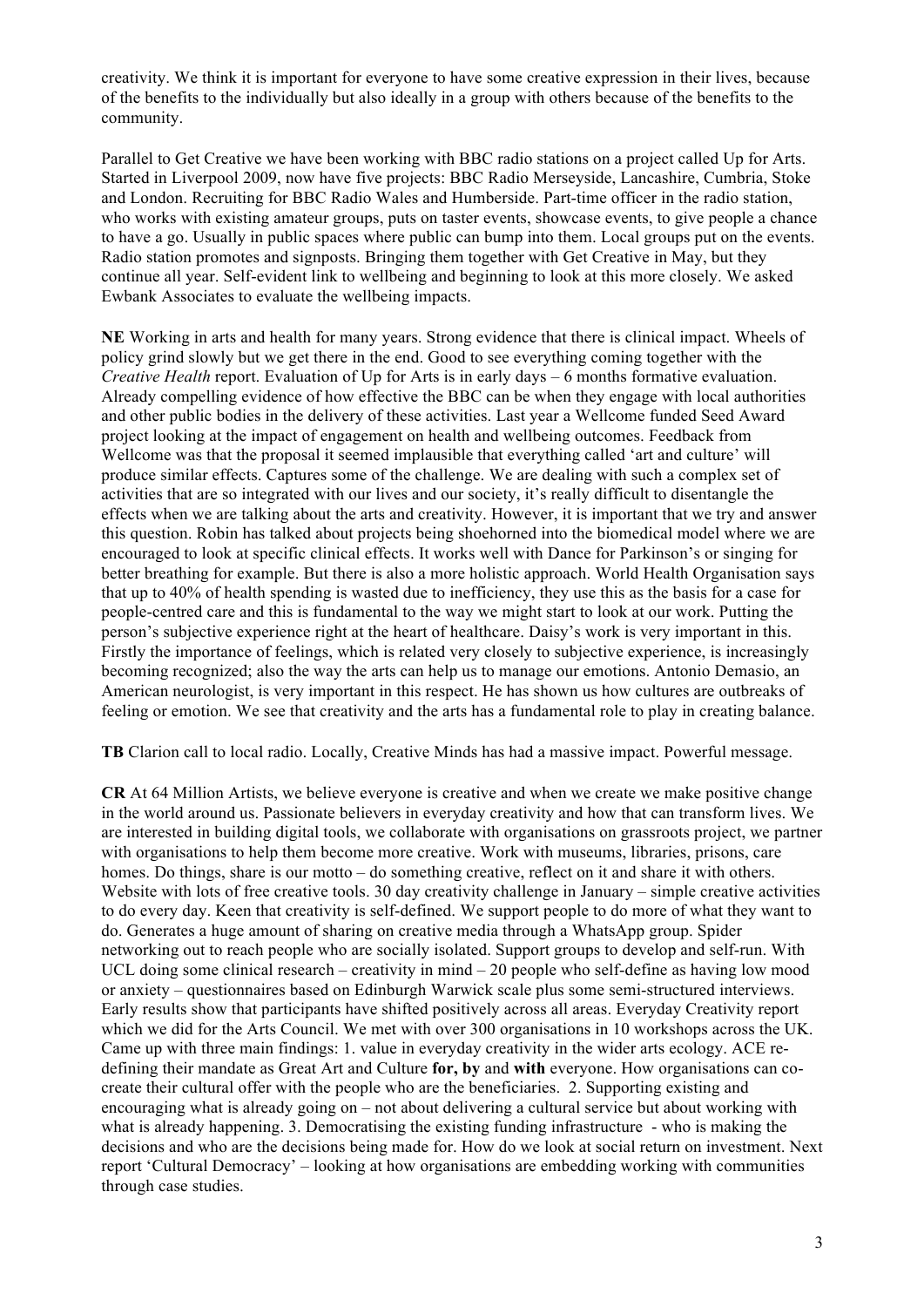creativity. We think it is important for everyone to have some creative expression in their lives, because of the benefits to the individually but also ideally in a group with others because of the benefits to the community.

Parallel to Get Creative we have been working with BBC radio stations on a project called Up for Arts. Started in Liverpool 2009, now have five projects: BBC Radio Merseyside, Lancashire, Cumbria, Stoke and London. Recruiting for BBC Radio Wales and Humberside. Part-time officer in the radio station, who works with existing amateur groups, puts on taster events, showcase events, to give people a chance to have a go. Usually in public spaces where public can bump into them. Local groups put on the events. Radio station promotes and signposts. Bringing them together with Get Creative in May, but they continue all year. Self-evident link to wellbeing and beginning to look at this more closely. We asked Ewbank Associates to evaluate the wellbeing impacts.

**NE** Working in arts and health for many years. Strong evidence that there is clinical impact. Wheels of policy grind slowly but we get there in the end. Good to see everything coming together with the *Creative Health* report. Evaluation of Up for Arts is in early days – 6 months formative evaluation. Already compelling evidence of how effective the BBC can be when they engage with local authorities and other public bodies in the delivery of these activities. Last year a Wellcome funded Seed Award project looking at the impact of engagement on health and wellbeing outcomes. Feedback from Wellcome was that the proposal it seemed implausible that everything called 'art and culture' will produce similar effects. Captures some of the challenge. We are dealing with such a complex set of activities that are so integrated with our lives and our society, it's really difficult to disentangle the effects when we are talking about the arts and creativity. However, it is important that we try and answer this question. Robin has talked about projects being shoehorned into the biomedical model where we are encouraged to look at specific clinical effects. It works well with Dance for Parkinson's or singing for better breathing for example. But there is also a more holistic approach. World Health Organisation says that up to 40% of health spending is wasted due to inefficiency, they use this as the basis for a case for people-centred care and this is fundamental to the way we might start to look at our work. Putting the person's subjective experience right at the heart of healthcare. Daisy's work is very important in this. Firstly the importance of feelings, which is related very closely to subjective experience, is increasingly becoming recognized; also the way the arts can help us to manage our emotions. Antonio Demasio, an American neurologist, is very important in this respect. He has shown us how cultures are outbreaks of feeling or emotion. We see that creativity and the arts has a fundamental role to play in creating balance.

**TB** Clarion call to local radio. Locally, Creative Minds has had a massive impact. Powerful message.

**CR** At 64 Million Artists, we believe everyone is creative and when we create we make positive change in the world around us. Passionate believers in everyday creativity and how that can transform lives. We are interested in building digital tools, we collaborate with organisations on grassroots project, we partner with organisations to help them become more creative. Work with museums, libraries, prisons, care homes. Do things, share is our motto – do something creative, reflect on it and share it with others. Website with lots of free creative tools. 30 day creativity challenge in January – simple creative activities to do every day. Keen that creativity is self-defined. We support people to do more of what they want to do. Generates a huge amount of sharing on creative media through a WhatsApp group. Spider networking out to reach people who are socially isolated. Support groups to develop and self-run. With UCL doing some clinical research – creativity in mind – 20 people who self-define as having low mood or anxiety – questionnaires based on Edinburgh Warwick scale plus some semi-structured interviews. Early results show that participants have shifted positively across all areas. Everyday Creativity report which we did for the Arts Council. We met with over 300 organisations in 10 workshops across the UK. Came up with three main findings: 1. value in everyday creativity in the wider arts ecology. ACE redefining their mandate as Great Art and Culture **for, by** and **with** everyone. How organisations can cocreate their cultural offer with the people who are the beneficiaries. 2. Supporting existing and encouraging what is already going on – not about delivering a cultural service but about working with what is already happening. 3. Democratising the existing funding infrastructure - who is making the decisions and who are the decisions being made for. How do we look at social return on investment. Next report 'Cultural Democracy' – looking at how organisations are embedding working with communities through case studies.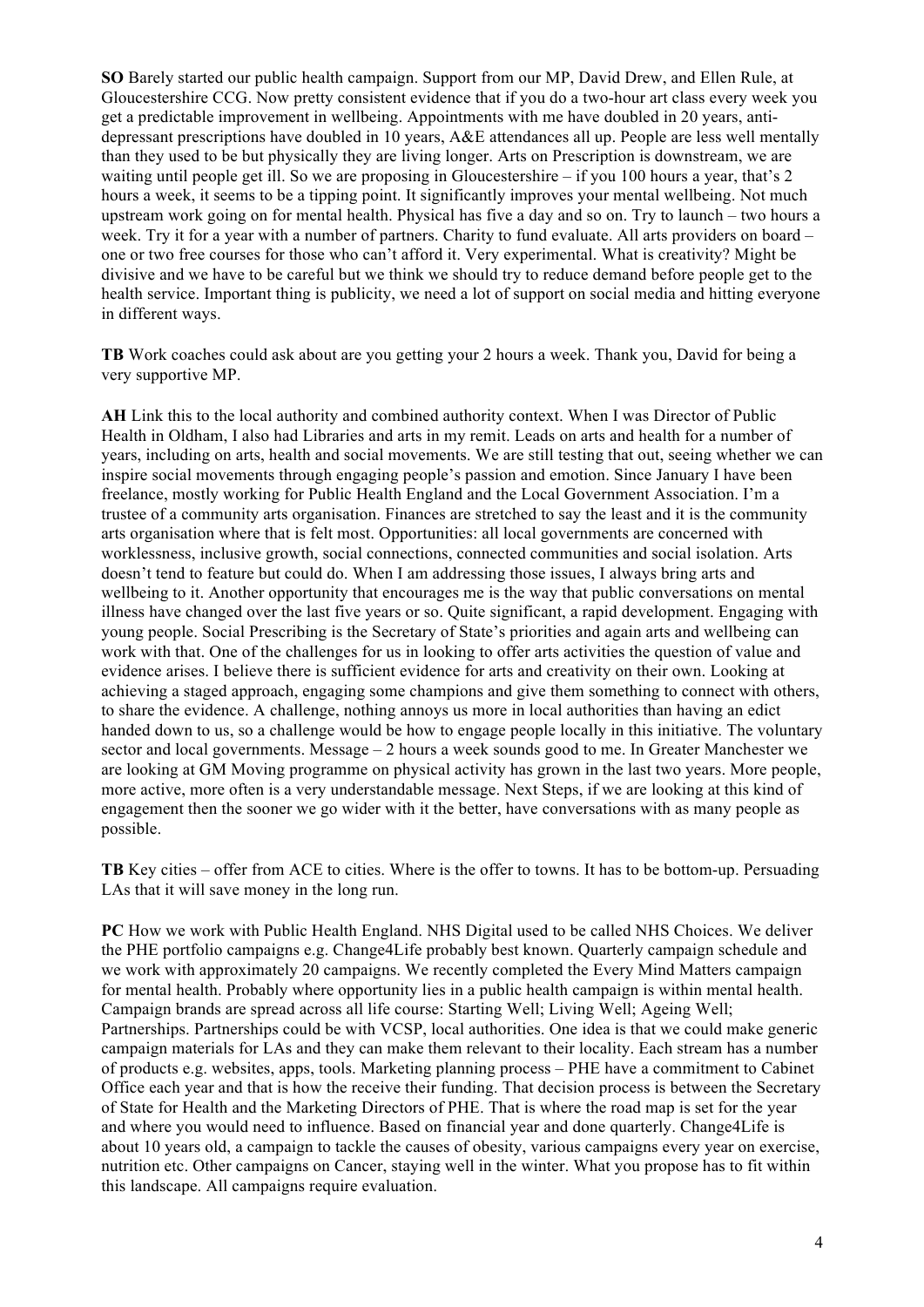**SO** Barely started our public health campaign. Support from our MP, David Drew, and Ellen Rule, at Gloucestershire CCG. Now pretty consistent evidence that if you do a two-hour art class every week you get a predictable improvement in wellbeing. Appointments with me have doubled in 20 years, antidepressant prescriptions have doubled in 10 years, A&E attendances all up. People are less well mentally than they used to be but physically they are living longer. Arts on Prescription is downstream, we are waiting until people get ill. So we are proposing in Gloucestershire – if you 100 hours a year, that's 2 hours a week, it seems to be a tipping point. It significantly improves your mental wellbeing. Not much upstream work going on for mental health. Physical has five a day and so on. Try to launch – two hours a week. Try it for a year with a number of partners. Charity to fund evaluate. All arts providers on board – one or two free courses for those who can't afford it. Very experimental. What is creativity? Might be divisive and we have to be careful but we think we should try to reduce demand before people get to the health service. Important thing is publicity, we need a lot of support on social media and hitting everyone in different ways.

**TB** Work coaches could ask about are you getting your 2 hours a week. Thank you, David for being a very supportive MP.

**AH** Link this to the local authority and combined authority context. When I was Director of Public Health in Oldham, I also had Libraries and arts in my remit. Leads on arts and health for a number of years, including on arts, health and social movements. We are still testing that out, seeing whether we can inspire social movements through engaging people's passion and emotion. Since January I have been freelance, mostly working for Public Health England and the Local Government Association. I'm a trustee of a community arts organisation. Finances are stretched to say the least and it is the community arts organisation where that is felt most. Opportunities: all local governments are concerned with worklessness, inclusive growth, social connections, connected communities and social isolation. Arts doesn't tend to feature but could do. When I am addressing those issues, I always bring arts and wellbeing to it. Another opportunity that encourages me is the way that public conversations on mental illness have changed over the last five years or so. Quite significant, a rapid development. Engaging with young people. Social Prescribing is the Secretary of State's priorities and again arts and wellbeing can work with that. One of the challenges for us in looking to offer arts activities the question of value and evidence arises. I believe there is sufficient evidence for arts and creativity on their own. Looking at achieving a staged approach, engaging some champions and give them something to connect with others, to share the evidence. A challenge, nothing annoys us more in local authorities than having an edict handed down to us, so a challenge would be how to engage people locally in this initiative. The voluntary sector and local governments. Message  $-2$  hours a week sounds good to me. In Greater Manchester we are looking at GM Moving programme on physical activity has grown in the last two years. More people, more active, more often is a very understandable message. Next Steps, if we are looking at this kind of engagement then the sooner we go wider with it the better, have conversations with as many people as possible.

**TB** Key cities – offer from ACE to cities. Where is the offer to towns. It has to be bottom-up. Persuading LAs that it will save money in the long run.

**PC** How we work with Public Health England. NHS Digital used to be called NHS Choices. We deliver the PHE portfolio campaigns e.g. Change4Life probably best known. Quarterly campaign schedule and we work with approximately 20 campaigns. We recently completed the Every Mind Matters campaign for mental health. Probably where opportunity lies in a public health campaign is within mental health. Campaign brands are spread across all life course: Starting Well; Living Well; Ageing Well; Partnerships. Partnerships could be with VCSP, local authorities. One idea is that we could make generic campaign materials for LAs and they can make them relevant to their locality. Each stream has a number of products e.g. websites, apps, tools. Marketing planning process – PHE have a commitment to Cabinet Office each year and that is how the receive their funding. That decision process is between the Secretary of State for Health and the Marketing Directors of PHE. That is where the road map is set for the year and where you would need to influence. Based on financial year and done quarterly. Change4Life is about 10 years old, a campaign to tackle the causes of obesity, various campaigns every year on exercise, nutrition etc. Other campaigns on Cancer, staying well in the winter. What you propose has to fit within this landscape. All campaigns require evaluation.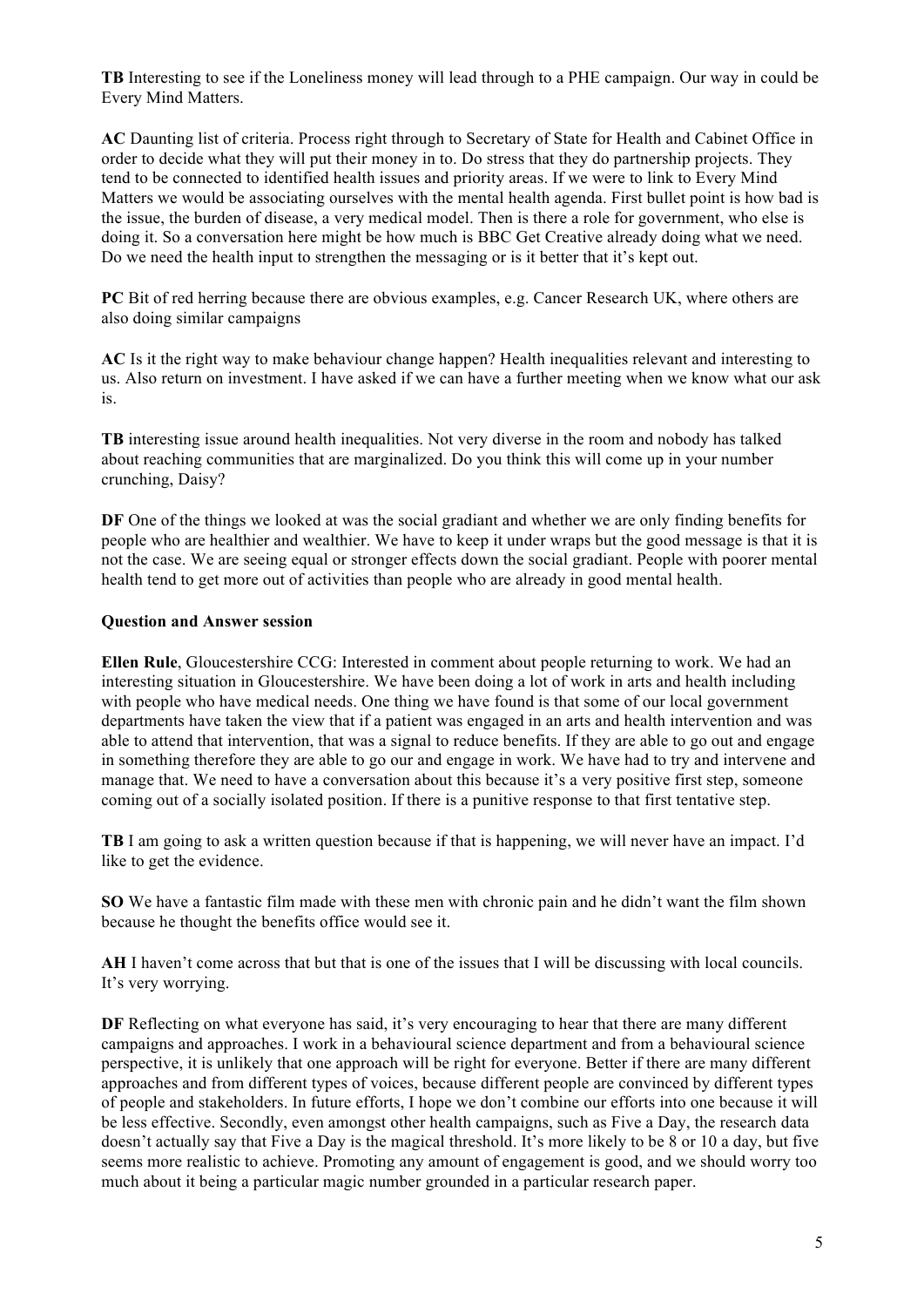**TB** Interesting to see if the Loneliness money will lead through to a PHE campaign. Our way in could be Every Mind Matters.

**AC** Daunting list of criteria. Process right through to Secretary of State for Health and Cabinet Office in order to decide what they will put their money in to. Do stress that they do partnership projects. They tend to be connected to identified health issues and priority areas. If we were to link to Every Mind Matters we would be associating ourselves with the mental health agenda. First bullet point is how bad is the issue, the burden of disease, a very medical model. Then is there a role for government, who else is doing it. So a conversation here might be how much is BBC Get Creative already doing what we need. Do we need the health input to strengthen the messaging or is it better that it's kept out.

**PC** Bit of red herring because there are obvious examples, e.g. Cancer Research UK, where others are also doing similar campaigns

**AC** Is it the right way to make behaviour change happen? Health inequalities relevant and interesting to us. Also return on investment. I have asked if we can have a further meeting when we know what our ask is.

**TB** interesting issue around health inequalities. Not very diverse in the room and nobody has talked about reaching communities that are marginalized. Do you think this will come up in your number crunching, Daisy?

**DF** One of the things we looked at was the social gradiant and whether we are only finding benefits for people who are healthier and wealthier. We have to keep it under wraps but the good message is that it is not the case. We are seeing equal or stronger effects down the social gradiant. People with poorer mental health tend to get more out of activities than people who are already in good mental health.

## **Question and Answer session**

**Ellen Rule**, Gloucestershire CCG: Interested in comment about people returning to work. We had an interesting situation in Gloucestershire. We have been doing a lot of work in arts and health including with people who have medical needs. One thing we have found is that some of our local government departments have taken the view that if a patient was engaged in an arts and health intervention and was able to attend that intervention, that was a signal to reduce benefits. If they are able to go out and engage in something therefore they are able to go our and engage in work. We have had to try and intervene and manage that. We need to have a conversation about this because it's a very positive first step, someone coming out of a socially isolated position. If there is a punitive response to that first tentative step.

**TB** I am going to ask a written question because if that is happening, we will never have an impact. I'd like to get the evidence.

**SO** We have a fantastic film made with these men with chronic pain and he didn't want the film shown because he thought the benefits office would see it.

**AH** I haven't come across that but that is one of the issues that I will be discussing with local councils. It's very worrying.

**DF** Reflecting on what everyone has said, it's very encouraging to hear that there are many different campaigns and approaches. I work in a behavioural science department and from a behavioural science perspective, it is unlikely that one approach will be right for everyone. Better if there are many different approaches and from different types of voices, because different people are convinced by different types of people and stakeholders. In future efforts, I hope we don't combine our efforts into one because it will be less effective. Secondly, even amongst other health campaigns, such as Five a Day, the research data doesn't actually say that Five a Day is the magical threshold. It's more likely to be 8 or 10 a day, but five seems more realistic to achieve. Promoting any amount of engagement is good, and we should worry too much about it being a particular magic number grounded in a particular research paper.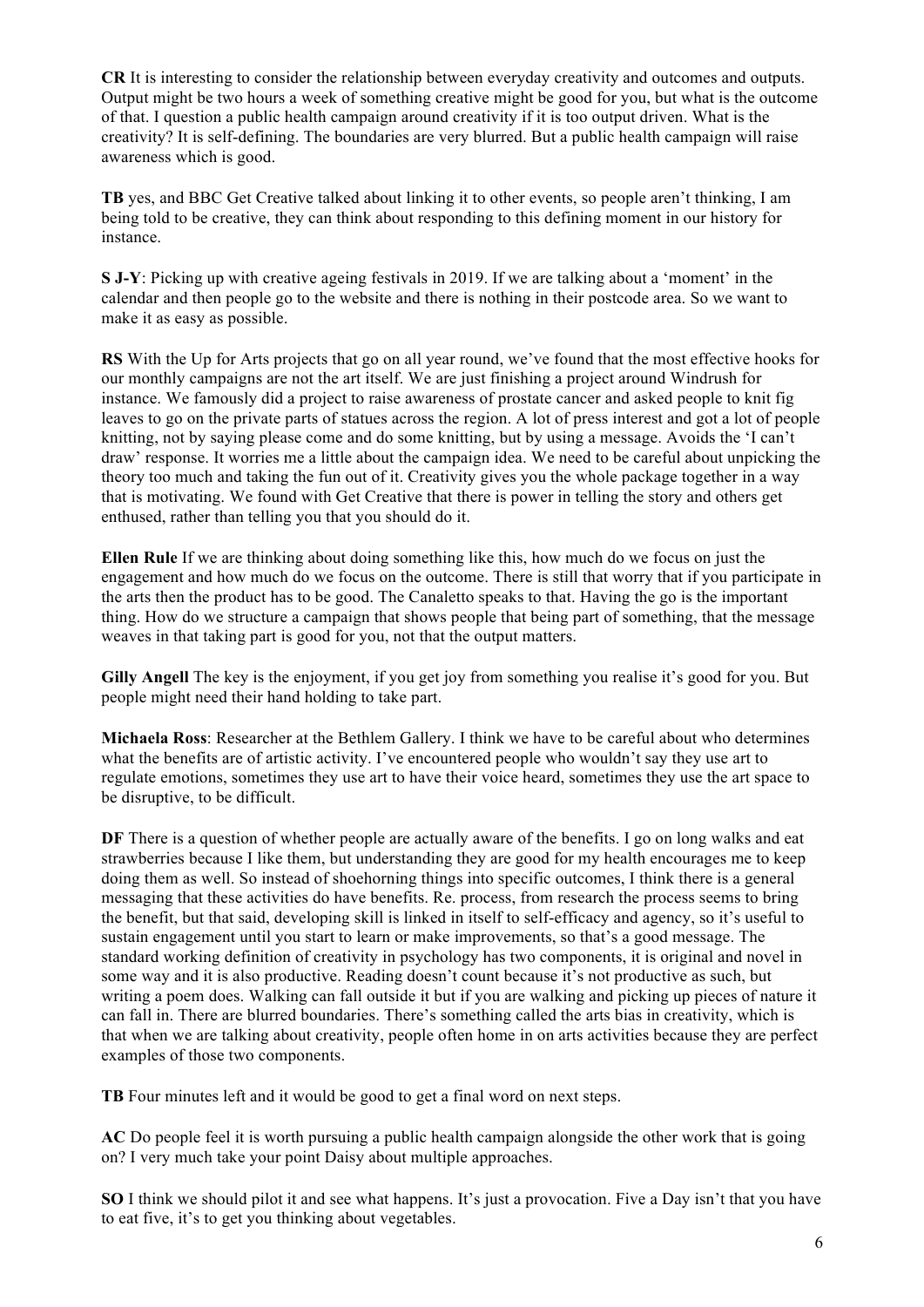**CR** It is interesting to consider the relationship between everyday creativity and outcomes and outputs. Output might be two hours a week of something creative might be good for you, but what is the outcome of that. I question a public health campaign around creativity if it is too output driven. What is the creativity? It is self-defining. The boundaries are very blurred. But a public health campaign will raise awareness which is good.

**TB** yes, and BBC Get Creative talked about linking it to other events, so people aren't thinking, I am being told to be creative, they can think about responding to this defining moment in our history for instance.

**S J-Y**: Picking up with creative ageing festivals in 2019. If we are talking about a 'moment' in the calendar and then people go to the website and there is nothing in their postcode area. So we want to make it as easy as possible.

**RS** With the Up for Arts projects that go on all year round, we've found that the most effective hooks for our monthly campaigns are not the art itself. We are just finishing a project around Windrush for instance. We famously did a project to raise awareness of prostate cancer and asked people to knit fig leaves to go on the private parts of statues across the region. A lot of press interest and got a lot of people knitting, not by saying please come and do some knitting, but by using a message. Avoids the 'I can't draw' response. It worries me a little about the campaign idea. We need to be careful about unpicking the theory too much and taking the fun out of it. Creativity gives you the whole package together in a way that is motivating. We found with Get Creative that there is power in telling the story and others get enthused, rather than telling you that you should do it.

**Ellen Rule** If we are thinking about doing something like this, how much do we focus on just the engagement and how much do we focus on the outcome. There is still that worry that if you participate in the arts then the product has to be good. The Canaletto speaks to that. Having the go is the important thing. How do we structure a campaign that shows people that being part of something, that the message weaves in that taking part is good for you, not that the output matters.

**Gilly Angell** The key is the enjoyment, if you get joy from something you realise it's good for you. But people might need their hand holding to take part.

**Michaela Ross**: Researcher at the Bethlem Gallery. I think we have to be careful about who determines what the benefits are of artistic activity. I've encountered people who wouldn't say they use art to regulate emotions, sometimes they use art to have their voice heard, sometimes they use the art space to be disruptive, to be difficult.

**DF** There is a question of whether people are actually aware of the benefits. I go on long walks and eat strawberries because I like them, but understanding they are good for my health encourages me to keep doing them as well. So instead of shoehorning things into specific outcomes, I think there is a general messaging that these activities do have benefits. Re. process, from research the process seems to bring the benefit, but that said, developing skill is linked in itself to self-efficacy and agency, so it's useful to sustain engagement until you start to learn or make improvements, so that's a good message. The standard working definition of creativity in psychology has two components, it is original and novel in some way and it is also productive. Reading doesn't count because it's not productive as such, but writing a poem does. Walking can fall outside it but if you are walking and picking up pieces of nature it can fall in. There are blurred boundaries. There's something called the arts bias in creativity, which is that when we are talking about creativity, people often home in on arts activities because they are perfect examples of those two components.

**TB** Four minutes left and it would be good to get a final word on next steps.

**AC** Do people feel it is worth pursuing a public health campaign alongside the other work that is going on? I very much take your point Daisy about multiple approaches.

**SO** I think we should pilot it and see what happens. It's just a provocation. Five a Day isn't that you have to eat five, it's to get you thinking about vegetables.